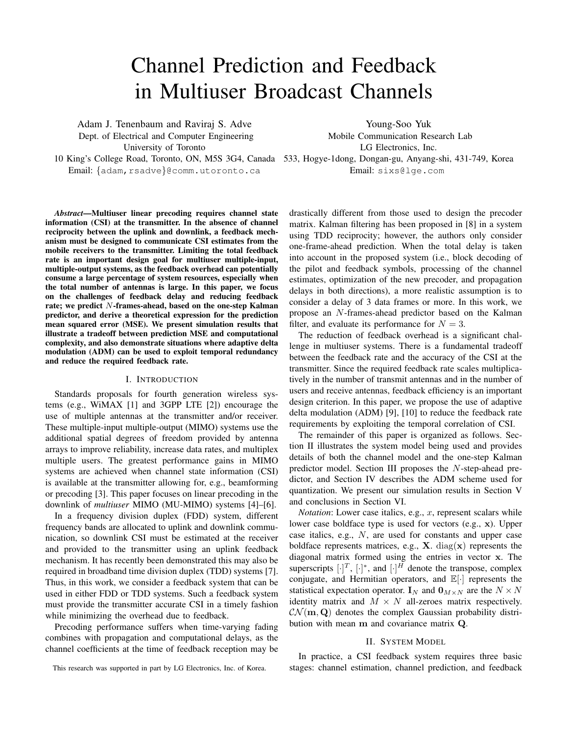# Channel Prediction and Feedback in Multiuser Broadcast Channels

Adam J. Tenenbaum and Raviraj S. Adve Dept. of Electrical and Computer Engineering University of Toronto

Young-Soo Yuk Mobile Communication Research Lab

LG Electronics, Inc.

10 King's College Road, Toronto, ON, M5S 3G4, Canada 533, Hogye-1dong, Dongan-gu, Anyang-shi, 431-749, Korea Email: {adam, rsadve}@comm.utoronto.ca

*Abstract***—Multiuser linear precoding requires channel state information (CSI) at the transmitter. In the absence of channel reciprocity between the uplink and downlink, a feedback mechanism must be designed to communicate CSI estimates from the mobile receivers to the transmitter. Limiting the total feedback rate is an important design goal for multiuser multiple-input, multiple-output systems, as the feedback overhead can potentially consume a large percentage of system resources, especially when the total number of antennas is large. In this paper, we focus on the challenges of feedback delay and reducing feedback rate; we predict** N**-frames-ahead, based on the one-step Kalman predictor, and derive a theoretical expression for the prediction mean squared error (MSE). We present simulation results that illustrate a tradeoff between prediction MSE and computational complexity, and also demonstrate situations where adaptive delta modulation (ADM) can be used to exploit temporal redundancy and reduce the required feedback rate.**

#### I. INTRODUCTION

Standards proposals for fourth generation wireless systems (e.g., WiMAX [1] and 3GPP LTE [2]) encourage the use of multiple antennas at the transmitter and/or receiver. These multiple-input multiple-output (MIMO) systems use the additional spatial degrees of freedom provided by antenna arrays to improve reliability, increase data rates, and multiplex multiple users. The greatest performance gains in MIMO systems are achieved when channel state information (CSI) is available at the transmitter allowing for, e.g., beamforming or precoding [3]. This paper focuses on linear precoding in the downlink of *multiuser* MIMO (MU-MIMO) systems [4]–[6].

In a frequency division duplex (FDD) system, different frequency bands are allocated to uplink and downlink communication, so downlink CSI must be estimated at the receiver and provided to the transmitter using an uplink feedback mechanism. It has recently been demonstrated this may also be required in broadband time division duplex (TDD) systems [7]. Thus, in this work, we consider a feedback system that can be used in either FDD or TDD systems. Such a feedback system must provide the transmitter accurate CSI in a timely fashion while minimizing the overhead due to feedback.

Precoding performance suffers when time-varying fading combines with propagation and computational delays, as the channel coefficients at the time of feedback reception may be Email: sixs@lge.com

drastically different from those used to design the precoder matrix. Kalman filtering has been proposed in [8] in a system using TDD reciprocity; however, the authors only consider one-frame-ahead prediction. When the total delay is taken into account in the proposed system (i.e., block decoding of the pilot and feedback symbols, processing of the channel estimates, optimization of the new precoder, and propagation delays in both directions), a more realistic assumption is to consider a delay of 3 data frames or more. In this work, we propose an N-frames-ahead predictor based on the Kalman filter, and evaluate its performance for  $N = 3$ .

The reduction of feedback overhead is a significant challenge in multiuser systems. There is a fundamental tradeoff between the feedback rate and the accuracy of the CSI at the transmitter. Since the required feedback rate scales multiplicatively in the number of transmit antennas and in the number of users and receive antennas, feedback efficiency is an important design criterion. In this paper, we propose the use of adaptive delta modulation (ADM) [9], [10] to reduce the feedback rate requirements by exploiting the temporal correlation of CSI.

The remainder of this paper is organized as follows. Section II illustrates the system model being used and provides details of both the channel model and the one-step Kalman predictor model. Section III proposes the N-step-ahead predictor, and Section IV describes the ADM scheme used for quantization. We present our simulation results in Section V and conclusions in Section VI.

*Notation*: Lower case italics, e.g., x, represent scalars while lower case boldface type is used for vectors (e.g., x). Upper case italics, e.g., N, are used for constants and upper case boldface represents matrices, e.g.,  $X$ . diag( $x$ ) represents the diagonal matrix formed using the entries in vector x. The superscripts  $[\cdot]^T$ ,  $[\cdot]^*$ , and  $[\cdot]^H$  denote the transpose, complex conjugate, and Hermitian operators, and  $\mathbb{E}[\cdot]$  represents the statistical expectation operator.  $I_N$  and  $0_{M \times N}$  are the  $N \times N$ identity matrix and  $M \times N$  all-zeroes matrix respectively.  $\mathcal{CN}(\mathbf{m}, \mathbf{Q})$  denotes the complex Gaussian probability distribution with mean m and covariance matrix Q.

## II. SYSTEM MODEL

In practice, a CSI feedback system requires three basic stages: channel estimation, channel prediction, and feedback

This research was supported in part by LG Electronics, Inc. of Korea.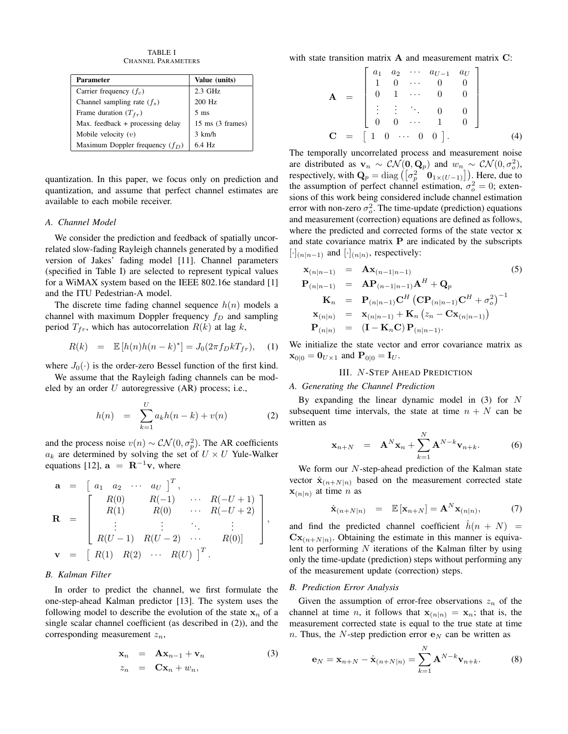TABLE I CHANNEL PARAMETERS

| <b>Parameter</b>                   | Value (units)              |
|------------------------------------|----------------------------|
| Carrier frequency $(f_c)$          | $2.3$ GHz                  |
| Channel sampling rate $(f_s)$      | 200 Hz                     |
| Frame duration $(T_{fr})$          | $5 \text{ ms}$             |
| Max. feedback $+$ processing delay | $15 \text{ ms}$ (3 frames) |
| Mobile velocity $(v)$              | $3 \text{ km/h}$           |
| Maximum Doppler frequency $(f_D)$  | 64 Hz                      |

quantization. In this paper, we focus only on prediction and quantization, and assume that perfect channel estimates are available to each mobile receiver.

#### *A. Channel Model*

We consider the prediction and feedback of spatially uncorrelated slow-fading Rayleigh channels generated by a modified version of Jakes' fading model [11]. Channel parameters (specified in Table I) are selected to represent typical values for a WiMAX system based on the IEEE 802.16e standard [1] and the ITU Pedestrian-A model.

The discrete time fading channel sequence  $h(n)$  models a channel with maximum Doppler frequency  $f_D$  and sampling period  $T_{fr}$ , which has autocorrelation  $R(k)$  at lag k,

$$
R(k) = \mathbb{E}[h(n)h(n-k)^*] = J_0(2\pi f_D k T_{fr}), \quad (1)
$$

where  $J_0(\cdot)$  is the order-zero Bessel function of the first kind.

We assume that the Rayleigh fading channels can be modeled by an order  $U$  autoregressive  $(AR)$  process; i.e.,

$$
h(n) = \sum_{k=1}^{U} a_k h(n-k) + v(n)
$$
 (2)

and the process noise  $v(n) \sim \mathcal{CN}(0, \sigma_p^2)$ . The AR coefficients  $a_k$  are determined by solving the set of  $U \times U$  Yule-Walker equations [12],  $\mathbf{a} = \mathbf{R}^{-1}\mathbf{v}$ , where

$$
\mathbf{a} = \begin{bmatrix} a_1 & a_2 & \cdots & a_U \end{bmatrix}^T, \n\mathbf{R} = \begin{bmatrix} R(0) & R(-1) & \cdots & R(-U+1) \\ R(1) & R(0) & \cdots & R(-U+2) \\ \vdots & \vdots & \ddots & \vdots \\ R(U-1) & R(U-2) & \cdots & R(0)] \end{bmatrix}, \n\mathbf{v} = \begin{bmatrix} R(1) & R(2) & \cdots & R(U) \end{bmatrix}^T.
$$

#### *B. Kalman Filter*

In order to predict the channel, we first formulate the one-step-ahead Kalman predictor [13]. The system uses the following model to describe the evolution of the state  $x_n$  of a single scalar channel coefficient (as described in (2)), and the corresponding measurement  $z_n$ ,

$$
\mathbf{x}_n = \mathbf{A}\mathbf{x}_{n-1} + \mathbf{v}_n
$$
  
\n
$$
z_n = \mathbf{C}\mathbf{x}_n + w_n,
$$
\n(3)

with state transition matrix  $A$  and measurement matrix  $C$ :

$$
\mathbf{A} = \begin{bmatrix} a_1 & a_2 & \cdots & a_{U-1} & a_U \\ 1 & 0 & \cdots & 0 & 0 \\ 0 & 1 & \cdots & 0 & 0 \\ \vdots & \vdots & \ddots & 0 & 0 \\ 0 & 0 & \cdots & 1 & 0 \end{bmatrix}
$$
  

$$
\mathbf{C} = \begin{bmatrix} 1 & 0 & \cdots & 0 & 0 \end{bmatrix}.
$$
 (4)

The temporally uncorrelated process and measurement noise are distributed as  $\mathbf{v}_n \sim \mathcal{CN}(\mathbf{0}, \mathbf{Q}_p)$  and  $w_n \sim \mathcal{CN}(0, \sigma_o^2)$ , respectively, with  $\mathbf{Q}_p = \text{diag}\left( \begin{bmatrix} \sigma_p^2 & \mathbf{0}_{1 \times (U-1)} \end{bmatrix} \right)$ . Here, due to the assumption of perfect channel estimation,  $\sigma_o^2 = 0$ ; extensions of this work being considered include channel estimation error with non-zero  $\sigma_o^2$ . The time-update (prediction) equations and measurement (correction) equations are defined as follows, where the predicted and corrected forms of the state vector x and state covariance matrix  $P$  are indicated by the subscripts  $[\cdot]_{(n|n-1)}$  and  $[\cdot]_{(n|n)}$ , respectively:

$$
\mathbf{x}_{(n|n-1)} = \mathbf{A}\mathbf{x}_{(n-1|n-1)} \tag{5}
$$
\n
$$
\mathbf{P}_{(n|n-1)} = \mathbf{A}\mathbf{P}_{(n-1|n-1)}\mathbf{A}^{H} + \mathbf{Q}_{p}
$$
\n
$$
\mathbf{K}_{n} = \mathbf{P}_{(n|n-1)}\mathbf{C}^{H}(\mathbf{C}\mathbf{P}_{(n|n-1)}\mathbf{C}^{H} + \sigma_{o}^{2})^{-1}
$$
\n
$$
\mathbf{x}_{(n|n)} = \mathbf{x}_{(n|n-1)} + \mathbf{K}_{n}(z_{n} - \mathbf{C}\mathbf{x}_{(n|n-1)})
$$
\n
$$
\mathbf{P}_{(n|n)} = (\mathbf{I} - \mathbf{K}_{n}\mathbf{C})\mathbf{P}_{(n|n-1)}.
$$
\n(5)

We initialize the state vector and error covariance matrix as  $\mathbf{x}_{0|0} = \mathbf{0}_{U\times 1}$  and  $\mathbf{P}_{0|0} = \mathbf{I}_U$ .

# III. N-STEP AHEAD PREDICTION

#### *A. Generating the Channel Prediction*

By expanding the linear dynamic model in (3) for N subsequent time intervals, the state at time  $n + N$  can be written as

$$
\mathbf{x}_{n+N} = \mathbf{A}^N \mathbf{x}_n + \sum_{k=1}^N \mathbf{A}^{N-k} \mathbf{v}_{n+k}.
$$
 (6)

We form our *N*-step-ahead prediction of the Kalman state vector  $\hat{\mathbf{x}}_{(n+N|n)}$  based on the measurement corrected state  $\mathbf{x}_{(n|n)}$  at time *n* as

$$
\hat{\mathbf{x}}_{(n+N|n)} = \mathbb{E}[\mathbf{x}_{n+N}] = \mathbf{A}^N \mathbf{x}_{(n|n)}, \tag{7}
$$

and find the predicted channel coefficient  $\hat{h}(n + N)$  =  $\mathbf{C}\mathbf{x}_{(n+N|n)}$ . Obtaining the estimate in this manner is equivalent to performing  $N$  iterations of the Kalman filter by using only the time-update (prediction) steps without performing any of the measurement update (correction) steps.

#### *B. Prediction Error Analysis*

Given the assumption of error-free observations  $z_n$  of the channel at time *n*, it follows that  $x_{(n|n)} = x_n$ ; that is, the measurement corrected state is equal to the true state at time n. Thus, the N-step prediction error  $e<sub>N</sub>$  can be written as

$$
\mathbf{e}_N = \mathbf{x}_{n+N} - \hat{\mathbf{x}}_{(n+N|n)} = \sum_{k=1}^N \mathbf{A}^{N-k} \mathbf{v}_{n+k}.
$$
 (8)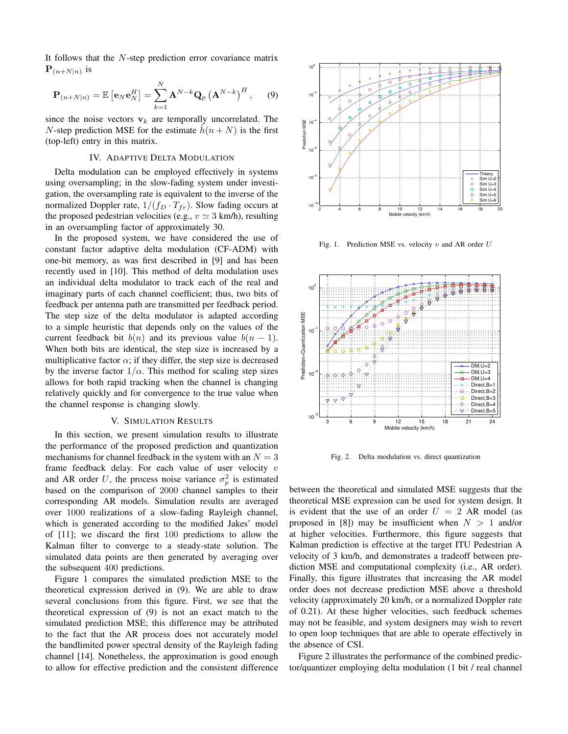It follows that the  $N$ -step prediction error covariance matrix  ${\bf P}_{(n+N|n)}$  is

$$
\mathbf{P}_{(n+N|n)} = \mathbb{E}\left[\mathbf{e}_N \mathbf{e}_N^H\right] = \sum_{k=1}^N \mathbf{A}^{N-k} \mathbf{Q}_p \left(\mathbf{A}^{N-k}\right)^H, \quad (9)
$$

since the noise vectors  $v_k$  are temporally uncorrelated. The N-step prediction MSE for the estimate  $h(n + N)$  is the first (top-left) entry in this matrix.

## IV. ADAPTIVE DELTA MODULATION

Delta modulation can be employed effectively in systems using oversampling; in the slow-fading system under investigation, the oversampling rate is equivalent to the inverse of the normalized Doppler rate,  $1/(f_D \cdot T_{fr})$ . Slow fading occurs at the proposed pedestrian velocities (e.g.,  $v \approx 3$  km/h), resulting in an oversampling factor of approximately 30.

In the proposed system, we have considered the use of constant factor adaptive delta modulation (CF-ADM) with one-bit memory, as was first described in [9] and has been recently used in [10]. This method of delta modulation uses an individual delta modulator to track each of the real and imaginary parts of each channel coefficient; thus, two bits of feedback per antenna path are transmitted per feedback period. The step size of the delta modulator is adapted according to a simple heuristic that depends only on the values of the current feedback bit  $b(n)$  and its previous value  $b(n - 1)$ . When both bits are identical, the step size is increased by a multiplicative factor  $\alpha$ ; if they differ, the step size is decreased by the inverse factor  $1/\alpha$ . This method for scaling step sizes allows for both rapid tracking when the channel is changing relatively quickly and for convergence to the true value when the channel response is changing slowly.

## V. SIMULATION RESULTS

In this section, we present simulation results to illustrate the performance of the proposed prediction and quantization mechanisms for channel feedback in the system with an  $N = 3$ frame feedback delay. For each value of user velocity  $v$ and AR order U, the process noise variance  $\sigma_p^2$  is estimated based on the comparison of 2000 channel samples to their corresponding AR models. Simulation results are averaged over 1000 realizations of a slow-fading Rayleigh channel, which is generated according to the modified Jakes' model of [11]; we discard the first 100 predictions to allow the Kalman filter to converge to a steady-state solution. The simulated data points are then generated by averaging over the subsequent 400 predictions.

Figure 1 compares the simulated prediction MSE to the theoretical expression derived in (9). We are able to draw several conclusions from this figure. First, we see that the theoretical expression of (9) is not an exact match to the simulated prediction MSE; this difference may be attributed to the fact that the AR process does not accurately model the bandlimited power spectral density of the Rayleigh fading channel [14]. Nonetheless, the approximation is good enough to allow for effective prediction and the consistent difference



Fig. 1. Prediction MSE vs. velocity  $v$  and AR order  $U$ 



Fig. 2. Delta modulation vs. direct quantization

between the theoretical and simulated MSE suggests that the theoretical MSE expression can be used for system design. It is evident that the use of an order  $U = 2$  AR model (as proposed in [8]) may be insufficient when  $N > 1$  and/or at higher velocities. Furthermore, this figure suggests that Kalman prediction is effective at the target ITU Pedestrian A velocity of 3 km/h, and demonstrates a tradeoff between prediction MSE and computational complexity (i.e., AR order). Finally, this figure illustrates that increasing the AR model order does not decrease prediction MSE above a threshold velocity (approximately 20 km/h, or a normalized Doppler rate of 0.21). At these higher velocities, such feedback schemes may not be feasible, and system designers may wish to revert to open loop techniques that are able to operate effectively in the absence of CSI.

Figure 2 illustrates the performance of the combined predictor/quantizer employing delta modulation (1 bit / real channel